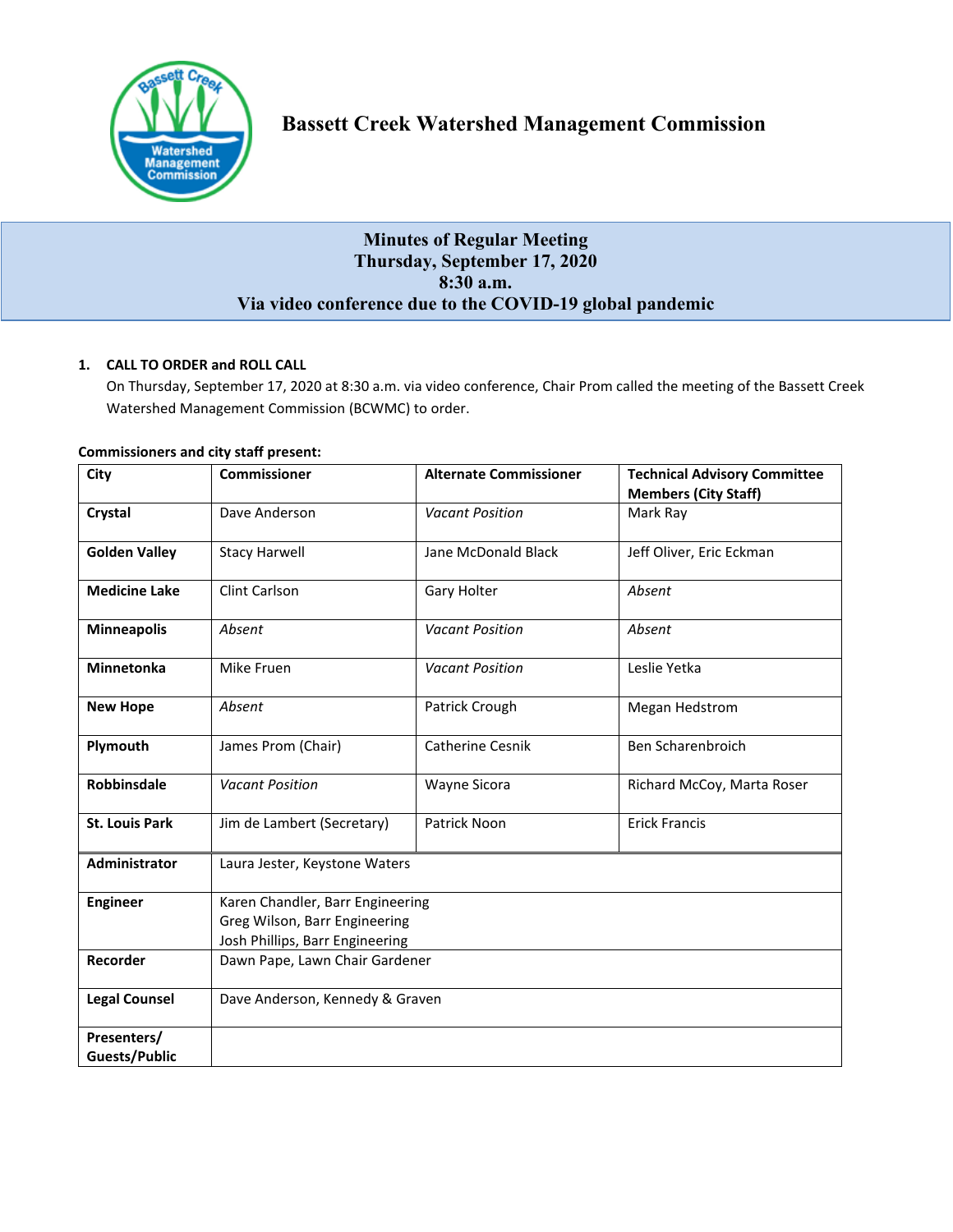

# **Minutes of Regular Meeting Thursday, September 17, 2020 8:30 a.m. Via video conference due to the COVID-19 global pandemic**

## **1. CALL TO ORDER and ROLL CALL**

On Thursday, September 17, 2020 at 8:30 a.m. via video conference, Chair Prom called the meeting of the Bassett Creek Watershed Management Commission (BCWMC) to order.

| City                  | <b>Commissioner</b>              | <b>Alternate Commissioner</b> | <b>Technical Advisory Committee</b> |
|-----------------------|----------------------------------|-------------------------------|-------------------------------------|
|                       |                                  |                               | <b>Members (City Staff)</b>         |
| Crystal               | Dave Anderson                    | <b>Vacant Position</b>        | Mark Ray                            |
| <b>Golden Valley</b>  | <b>Stacy Harwell</b>             | Jane McDonald Black           | Jeff Oliver, Eric Eckman            |
| <b>Medicine Lake</b>  | Clint Carlson                    | Gary Holter                   | Absent                              |
| <b>Minneapolis</b>    | Absent                           | <b>Vacant Position</b>        | Absent                              |
| Minnetonka            | Mike Fruen                       | <b>Vacant Position</b>        | Leslie Yetka                        |
| <b>New Hope</b>       | Absent                           | Patrick Crough                | Megan Hedstrom                      |
| Plymouth              | James Prom (Chair)               | Catherine Cesnik              | Ben Scharenbroich                   |
| Robbinsdale           | <b>Vacant Position</b>           | <b>Wayne Sicora</b>           | Richard McCoy, Marta Roser          |
| <b>St. Louis Park</b> | Jim de Lambert (Secretary)       | Patrick Noon                  | <b>Erick Francis</b>                |
| Administrator         | Laura Jester, Keystone Waters    |                               |                                     |
| <b>Engineer</b>       | Karen Chandler, Barr Engineering |                               |                                     |
|                       | Greg Wilson, Barr Engineering    |                               |                                     |
|                       | Josh Phillips, Barr Engineering  |                               |                                     |
| Recorder              | Dawn Pape, Lawn Chair Gardener   |                               |                                     |
| <b>Legal Counsel</b>  | Dave Anderson, Kennedy & Graven  |                               |                                     |
| Presenters/           |                                  |                               |                                     |
| Guests/Public         |                                  |                               |                                     |

#### **Commissioners and city staff present:**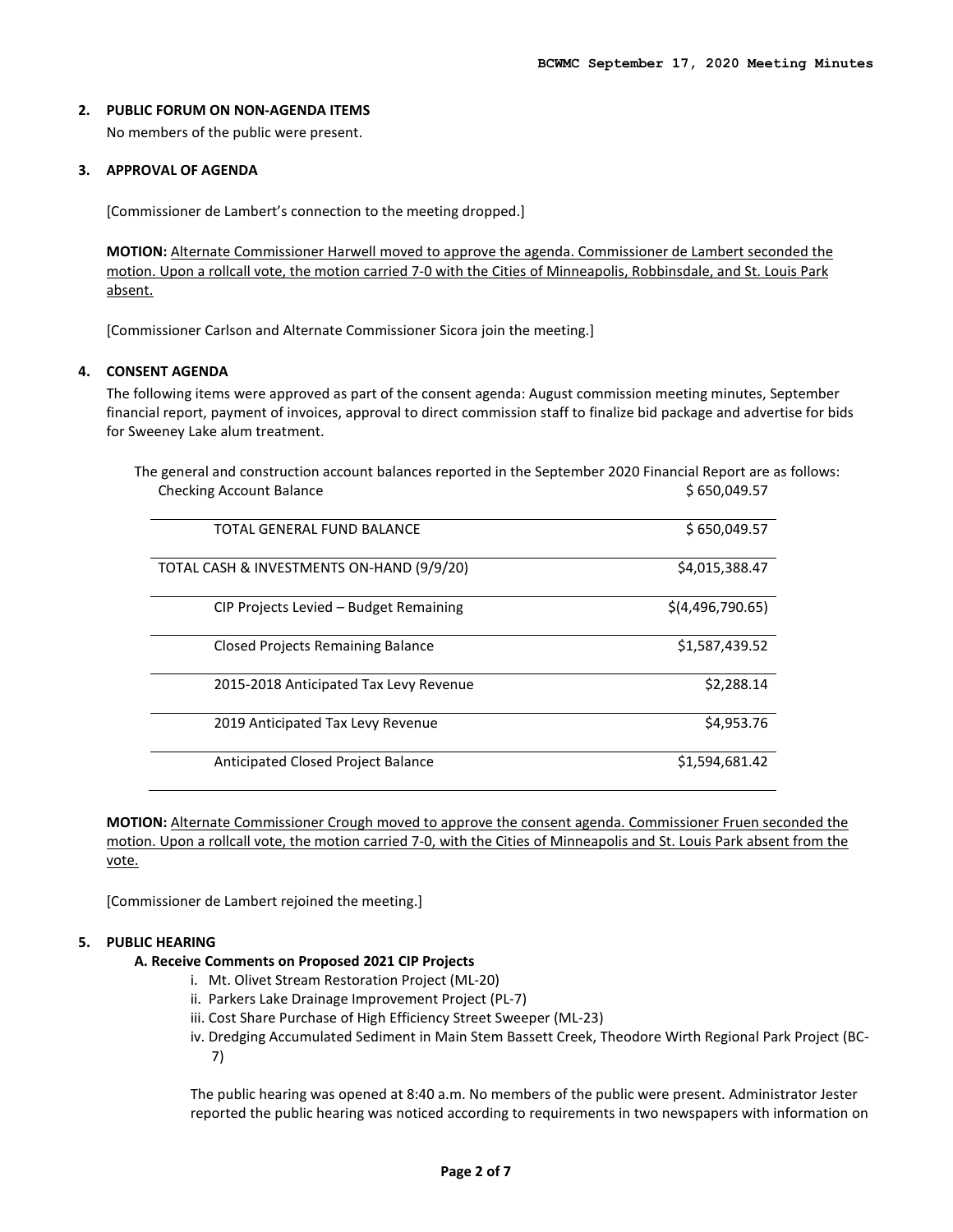#### **2. PUBLIC FORUM ON NON-AGENDA ITEMS**

No members of the public were present.

#### **3. APPROVAL OF AGENDA**

[Commissioner de Lambert's connection to the meeting dropped.]

**MOTION:** Alternate Commissioner Harwell moved to approve the agenda. Commissioner de Lambert seconded the motion. Upon a rollcall vote, the motion carried 7-0 with the Cities of Minneapolis, Robbinsdale, and St. Louis Park absent.

[Commissioner Carlson and Alternate Commissioner Sicora join the meeting.]

#### **4. CONSENT AGENDA**

The following items were approved as part of the consent agenda: August commission meeting minutes, September financial report, payment of invoices, approval to direct commission staff to finalize bid package and advertise for bids for Sweeney Lake alum treatment.

| \$650,049.57     |  |
|------------------|--|
| \$650,049.57     |  |
| \$4,015,388.47   |  |
| \$(4,496,790.65) |  |
| \$1,587,439.52   |  |
| \$2,288.14       |  |
| \$4,953.76       |  |
| \$1,594,681.42   |  |
|                  |  |

The general and construction account balances reported in the September 2020 Financial Report are as follows:

**MOTION:** Alternate Commissioner Crough moved to approve the consent agenda. Commissioner Fruen seconded the motion. Upon a rollcall vote, the motion carried 7-0, with the Cities of Minneapolis and St. Louis Park absent from the vote.

[Commissioner de Lambert rejoined the meeting.]

## **5. PUBLIC HEARING**

## **A. Receive Comments on Proposed 2021 CIP Projects**

- i. Mt. Olivet Stream Restoration Project (ML-20)
- ii. Parkers Lake Drainage Improvement Project (PL-7)
- iii. Cost Share Purchase of High Efficiency Street Sweeper (ML-23)
- iv. Dredging Accumulated Sediment in Main Stem Bassett Creek, Theodore Wirth Regional Park Project (BC-7)

The public hearing was opened at 8:40 a.m. No members of the public were present. Administrator Jester reported the public hearing was noticed according to requirements in two newspapers with information on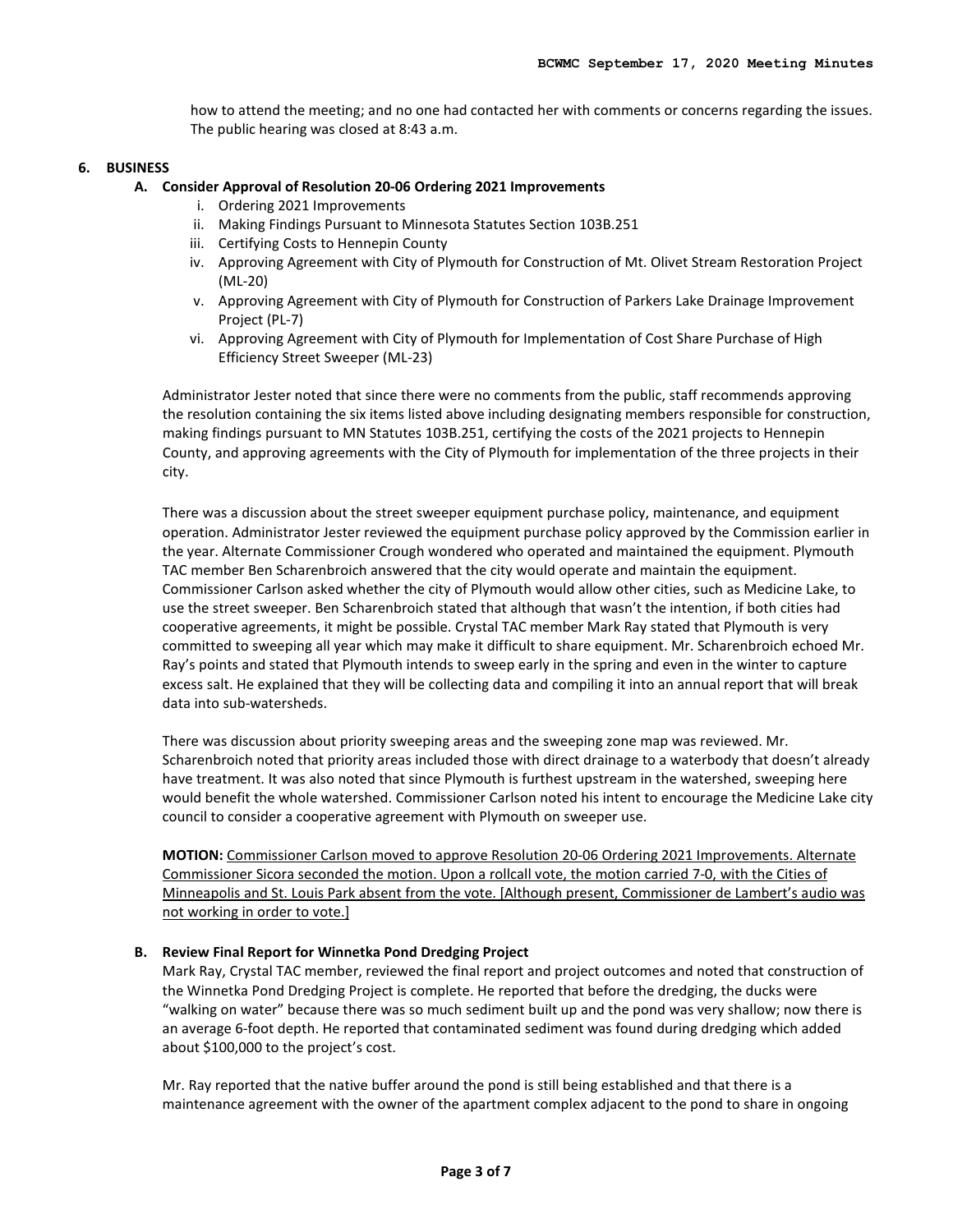how to attend the meeting; and no one had contacted her with comments or concerns regarding the issues. The public hearing was closed at 8:43 a.m.

#### **6. BUSINESS**

- **A. Consider Approval of Resolution 20-06 Ordering 2021 Improvements** 
	- i. Ordering 2021 Improvements
	- ii. Making Findings Pursuant to Minnesota Statutes Section 103B.251
	- iii. Certifying Costs to Hennepin County
	- iv. Approving Agreement with City of Plymouth for Construction of Mt. Olivet Stream Restoration Project (ML-20)
	- v. Approving Agreement with City of Plymouth for Construction of Parkers Lake Drainage Improvement Project (PL-7)
	- vi. Approving Agreement with City of Plymouth for Implementation of Cost Share Purchase of High Efficiency Street Sweeper (ML-23)

Administrator Jester noted that since there were no comments from the public, staff recommends approving the resolution containing the six items listed above including designating members responsible for construction, making findings pursuant to MN Statutes 103B.251, certifying the costs of the 2021 projects to Hennepin County, and approving agreements with the City of Plymouth for implementation of the three projects in their city.

There was a discussion about the street sweeper equipment purchase policy, maintenance, and equipment operation. Administrator Jester reviewed the equipment purchase policy approved by the Commission earlier in the year. Alternate Commissioner Crough wondered who operated and maintained the equipment. Plymouth TAC member Ben Scharenbroich answered that the city would operate and maintain the equipment. Commissioner Carlson asked whether the city of Plymouth would allow other cities, such as Medicine Lake, to use the street sweeper. Ben Scharenbroich stated that although that wasn't the intention, if both cities had cooperative agreements, it might be possible. Crystal TAC member Mark Ray stated that Plymouth is very committed to sweeping all year which may make it difficult to share equipment. Mr. Scharenbroich echoed Mr. Ray's points and stated that Plymouth intends to sweep early in the spring and even in the winter to capture excess salt. He explained that they will be collecting data and compiling it into an annual report that will break data into sub-watersheds.

There was discussion about priority sweeping areas and the sweeping zone map was reviewed. Mr. Scharenbroich noted that priority areas included those with direct drainage to a waterbody that doesn't already have treatment. It was also noted that since Plymouth is furthest upstream in the watershed, sweeping here would benefit the whole watershed. Commissioner Carlson noted his intent to encourage the Medicine Lake city council to consider a cooperative agreement with Plymouth on sweeper use.

**MOTION:** Commissioner Carlson moved to approve Resolution 20-06 Ordering 2021 Improvements. Alternate Commissioner Sicora seconded the motion. Upon a rollcall vote, the motion carried 7-0, with the Cities of Minneapolis and St. Louis Park absent from the vote. [Although present, Commissioner de Lambert's audio was not working in order to vote.]

#### **B. Review Final Report for Winnetka Pond Dredging Project**

Mark Ray, Crystal TAC member, reviewed the final report and project outcomes and noted that construction of the Winnetka Pond Dredging Project is complete. He reported that before the dredging, the ducks were "walking on water" because there was so much sediment built up and the pond was very shallow; now there is an average 6-foot depth. He reported that contaminated sediment was found during dredging which added about \$100,000 to the project's cost.

Mr. Ray reported that the native buffer around the pond is still being established and that there is a maintenance agreement with the owner of the apartment complex adjacent to the pond to share in ongoing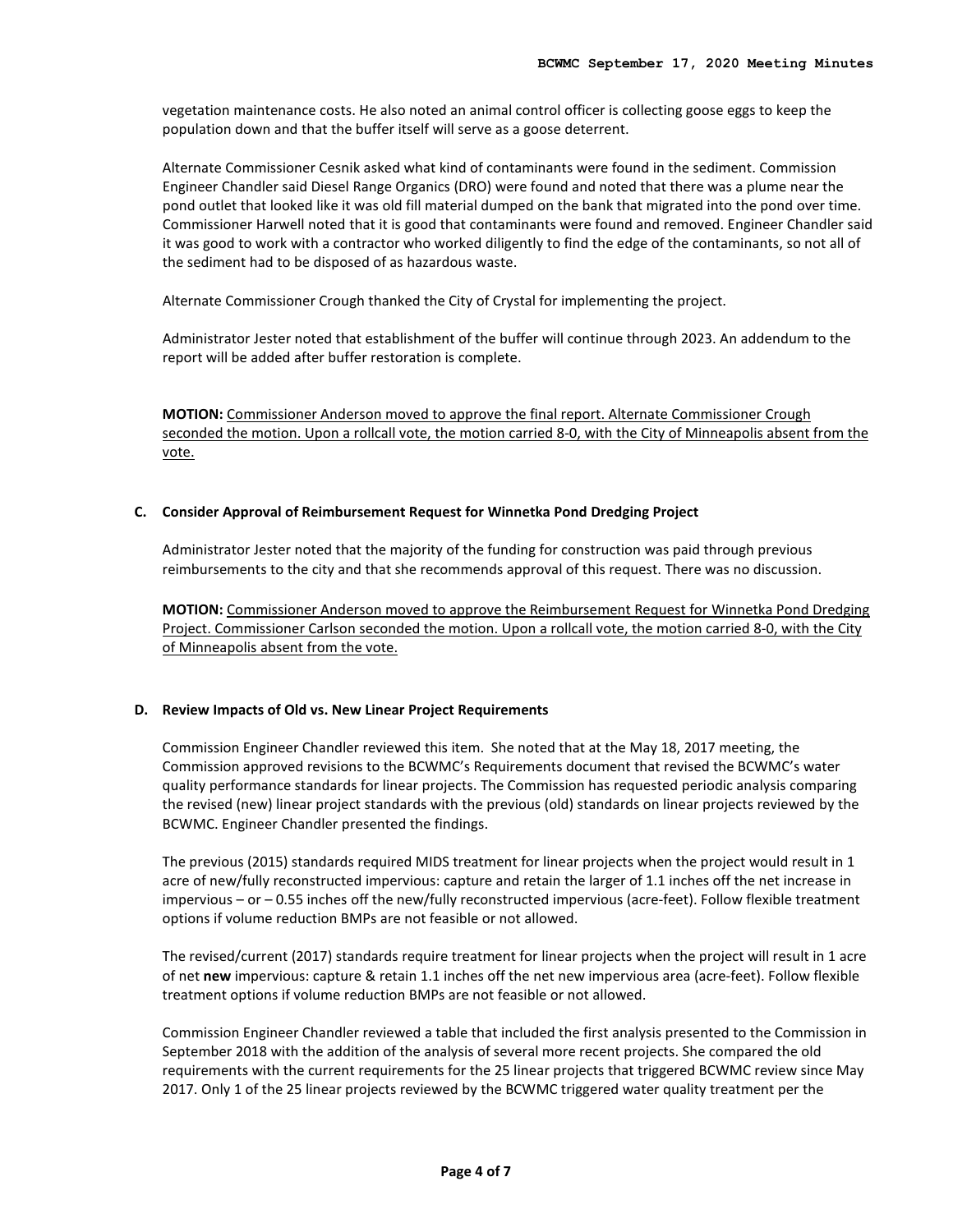vegetation maintenance costs. He also noted an animal control officer is collecting goose eggs to keep the population down and that the buffer itself will serve as a goose deterrent.

Alternate Commissioner Cesnik asked what kind of contaminants were found in the sediment. Commission Engineer Chandler said Diesel Range Organics (DRO) were found and noted that there was a plume near the pond outlet that looked like it was old fill material dumped on the bank that migrated into the pond over time. Commissioner Harwell noted that it is good that contaminants were found and removed. Engineer Chandler said it was good to work with a contractor who worked diligently to find the edge of the contaminants, so not all of the sediment had to be disposed of as hazardous waste.

Alternate Commissioner Crough thanked the City of Crystal for implementing the project.

Administrator Jester noted that establishment of the buffer will continue through 2023. An addendum to the report will be added after buffer restoration is complete.

**MOTION:** Commissioner Anderson moved to approve the final report. Alternate Commissioner Crough seconded the motion. Upon a rollcall vote, the motion carried 8-0, with the City of Minneapolis absent from the vote.

#### **C. Consider Approval of Reimbursement Request for Winnetka Pond Dredging Project**

Administrator Jester noted that the majority of the funding for construction was paid through previous reimbursements to the city and that she recommends approval of this request. There was no discussion.

**MOTION:** Commissioner Anderson moved to approve the Reimbursement Request for Winnetka Pond Dredging Project. Commissioner Carlson seconded the motion. Upon a rollcall vote, the motion carried 8-0, with the City of Minneapolis absent from the vote.

#### **D. Review Impacts of Old vs. New Linear Project Requirements**

Commission Engineer Chandler reviewed this item. She noted that at the May 18, 2017 meeting, the Commission approved revisions to the BCWMC's Requirements document that revised the BCWMC's water quality performance standards for linear projects. The Commission has requested periodic analysis comparing the revised (new) linear project standards with the previous (old) standards on linear projects reviewed by the BCWMC. Engineer Chandler presented the findings.

The previous (2015) standards required MIDS treatment for linear projects when the project would result in 1 acre of new/fully reconstructed impervious: capture and retain the larger of 1.1 inches off the net increase in impervious – or – 0.55 inches off the new/fully reconstructed impervious (acre-feet). Follow flexible treatment options if volume reduction BMPs are not feasible or not allowed.

The revised/current (2017) standards require treatment for linear projects when the project will result in 1 acre of net **new** impervious: capture & retain 1.1 inches off the net new impervious area (acre-feet). Follow flexible treatment options if volume reduction BMPs are not feasible or not allowed.

Commission Engineer Chandler reviewed a table that included the first analysis presented to the Commission in September 2018 with the addition of the analysis of several more recent projects. She compared the old requirements with the current requirements for the 25 linear projects that triggered BCWMC review since May 2017. Only 1 of the 25 linear projects reviewed by the BCWMC triggered water quality treatment per the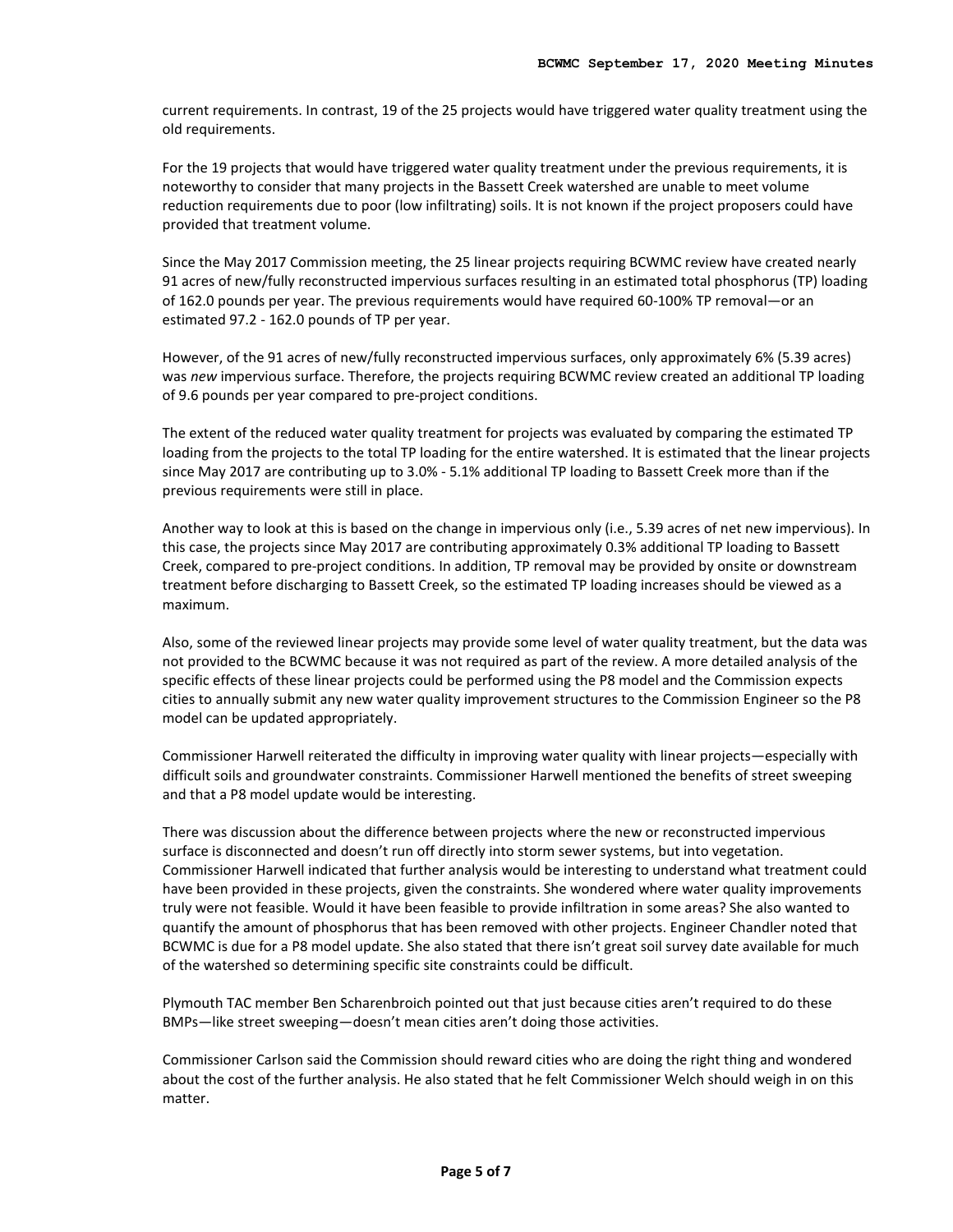current requirements. In contrast, 19 of the 25 projects would have triggered water quality treatment using the old requirements.

For the 19 projects that would have triggered water quality treatment under the previous requirements, it is noteworthy to consider that many projects in the Bassett Creek watershed are unable to meet volume reduction requirements due to poor (low infiltrating) soils. It is not known if the project proposers could have provided that treatment volume.

Since the May 2017 Commission meeting, the 25 linear projects requiring BCWMC review have created nearly 91 acres of new/fully reconstructed impervious surfaces resulting in an estimated total phosphorus (TP) loading of 162.0 pounds per year. The previous requirements would have required 60-100% TP removal—or an estimated 97.2 - 162.0 pounds of TP per year.

However, of the 91 acres of new/fully reconstructed impervious surfaces, only approximately 6% (5.39 acres) was *new* impervious surface. Therefore, the projects requiring BCWMC review created an additional TP loading of 9.6 pounds per year compared to pre-project conditions.

The extent of the reduced water quality treatment for projects was evaluated by comparing the estimated TP loading from the projects to the total TP loading for the entire watershed. It is estimated that the linear projects since May 2017 are contributing up to 3.0% - 5.1% additional TP loading to Bassett Creek more than if the previous requirements were still in place.

Another way to look at this is based on the change in impervious only (i.e., 5.39 acres of net new impervious). In this case, the projects since May 2017 are contributing approximately 0.3% additional TP loading to Bassett Creek, compared to pre-project conditions. In addition, TP removal may be provided by onsite or downstream treatment before discharging to Bassett Creek, so the estimated TP loading increases should be viewed as a maximum.

Also, some of the reviewed linear projects may provide some level of water quality treatment, but the data was not provided to the BCWMC because it was not required as part of the review. A more detailed analysis of the specific effects of these linear projects could be performed using the P8 model and the Commission expects cities to annually submit any new water quality improvement structures to the Commission Engineer so the P8 model can be updated appropriately.

Commissioner Harwell reiterated the difficulty in improving water quality with linear projects—especially with difficult soils and groundwater constraints. Commissioner Harwell mentioned the benefits of street sweeping and that a P8 model update would be interesting.

There was discussion about the difference between projects where the new or reconstructed impervious surface is disconnected and doesn't run off directly into storm sewer systems, but into vegetation. Commissioner Harwell indicated that further analysis would be interesting to understand what treatment could have been provided in these projects, given the constraints. She wondered where water quality improvements truly were not feasible. Would it have been feasible to provide infiltration in some areas? She also wanted to quantify the amount of phosphorus that has been removed with other projects. Engineer Chandler noted that BCWMC is due for a P8 model update. She also stated that there isn't great soil survey date available for much of the watershed so determining specific site constraints could be difficult.

Plymouth TAC member Ben Scharenbroich pointed out that just because cities aren't required to do these BMPs—like street sweeping—doesn't mean cities aren't doing those activities.

Commissioner Carlson said the Commission should reward cities who are doing the right thing and wondered about the cost of the further analysis. He also stated that he felt Commissioner Welch should weigh in on this matter.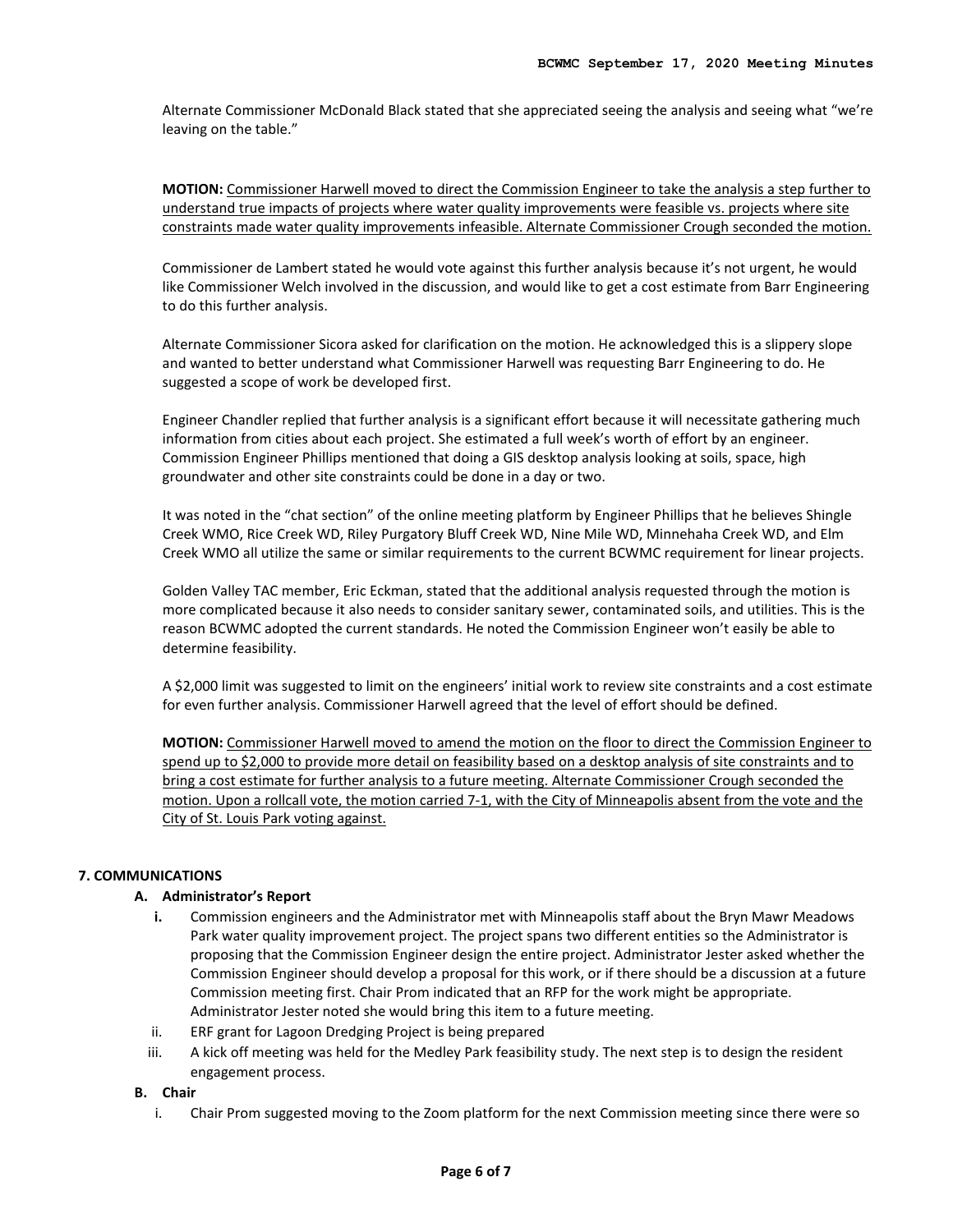Alternate Commissioner McDonald Black stated that she appreciated seeing the analysis and seeing what "we're leaving on the table."

**MOTION:** Commissioner Harwell moved to direct the Commission Engineer to take the analysis a step further to understand true impacts of projects where water quality improvements were feasible vs. projects where site constraints made water quality improvements infeasible. Alternate Commissioner Crough seconded the motion.

Commissioner de Lambert stated he would vote against this further analysis because it's not urgent, he would like Commissioner Welch involved in the discussion, and would like to get a cost estimate from Barr Engineering to do this further analysis.

Alternate Commissioner Sicora asked for clarification on the motion. He acknowledged this is a slippery slope and wanted to better understand what Commissioner Harwell was requesting Barr Engineering to do. He suggested a scope of work be developed first.

Engineer Chandler replied that further analysis is a significant effort because it will necessitate gathering much information from cities about each project. She estimated a full week's worth of effort by an engineer. Commission Engineer Phillips mentioned that doing a GIS desktop analysis looking at soils, space, high groundwater and other site constraints could be done in a day or two.

It was noted in the "chat section" of the online meeting platform by Engineer Phillips that he believes Shingle Creek WMO, Rice Creek WD, Riley Purgatory Bluff Creek WD, Nine Mile WD, Minnehaha Creek WD, and Elm Creek WMO all utilize the same or similar requirements to the current BCWMC requirement for linear projects.

Golden Valley TAC member, Eric Eckman, stated that the additional analysis requested through the motion is more complicated because it also needs to consider sanitary sewer, contaminated soils, and utilities. This is the reason BCWMC adopted the current standards. He noted the Commission Engineer won't easily be able to determine feasibility.

A \$2,000 limit was suggested to limit on the engineers' initial work to review site constraints and a cost estimate for even further analysis. Commissioner Harwell agreed that the level of effort should be defined.

**MOTION:** Commissioner Harwell moved to amend the motion on the floor to direct the Commission Engineer to spend up to \$2,000 to provide more detail on feasibility based on a desktop analysis of site constraints and to bring a cost estimate for further analysis to a future meeting. Alternate Commissioner Crough seconded the motion. Upon a rollcall vote, the motion carried 7-1, with the City of Minneapolis absent from the vote and the City of St. Louis Park voting against.

## **7. COMMUNICATIONS**

## **A. Administrator's Report**

- **i.** Commission engineers and the Administrator met with Minneapolis staff about the Bryn Mawr Meadows Park water quality improvement project. The project spans two different entities so the Administrator is proposing that the Commission Engineer design the entire project. Administrator Jester asked whether the Commission Engineer should develop a proposal for this work, or if there should be a discussion at a future Commission meeting first. Chair Prom indicated that an RFP for the work might be appropriate. Administrator Jester noted she would bring this item to a future meeting.
- ii. ERF grant for Lagoon Dredging Project is being prepared
- iii. A kick off meeting was held for the Medley Park feasibility study. The next step is to design the resident engagement process.

#### **B. Chair**

i. Chair Prom suggested moving to the Zoom platform for the next Commission meeting since there were so